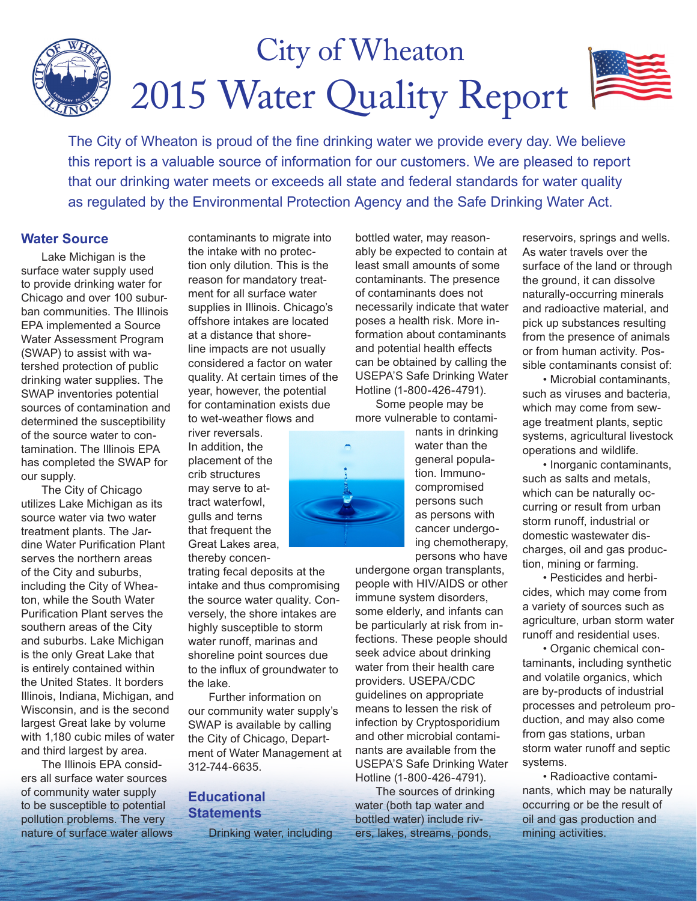# 2015 Water Quality Report City of Wheaton

The City of Wheaton is proud of the fine drinking water we provide every day. We believe this report is a valuable source of information for our customers. We are pleased to report that our drinking water meets or exceeds all state and federal standards for water quality as regulated by the Environmental Protection Agency and the Safe Drinking Water Act.

### **Water Source**

Lake Michigan is the surface water supply used to provide drinking water for Chicago and over 100 suburban communities. The Illinois EPA implemented a Source Water Assessment Program (SWAP) to assist with watershed protection of public drinking water supplies. The SWAP inventories potential sources of contamination and determined the susceptibility of the source water to contamination. The Illinois EPA has completed the SWAP for our supply.

The City of Chicago utilizes Lake Michigan as its source water via two water treatment plants. The Jardine Water Purification Plant serves the northern areas of the City and suburbs, including the City of Wheaton, while the South Water Purification Plant serves the southern areas of the City and suburbs. Lake Michigan is the only Great Lake that is entirely contained within the United States. It borders Illinois, Indiana, Michigan, and Wisconsin, and is the second largest Great lake by volume with 1,180 cubic miles of water and third largest by area.

The Illinois EPA considers all surface water sources of community water supply to be susceptible to potential pollution problems. The very nature of surface water allows contaminants to migrate into the intake with no protection only dilution. This is the reason for mandatory treatment for all surface water supplies in Illinois. Chicago's offshore intakes are located at a distance that shoreline impacts are not usually considered a factor on water quality. At certain times of the year, however, the potential for contamination exists due to wet-weather flows and

river reversals. In addition, the placement of the crib structures may serve to attract waterfowl, gulls and terns that frequent the Great Lakes area, thereby concen-

trating fecal deposits at the intake and thus compromising the source water quality. Conversely, the shore intakes are highly susceptible to storm water runoff, marinas and shoreline point sources due to the influx of groundwater to the lake.

Further information on our community water supply's SWAP is available by calling the City of Chicago, Department of Water Management at 312-744-6635.

### **Educational Statements**

Drinking water, including

bottled water, may reasonably be expected to contain at least small amounts of some contaminants. The presence of contaminants does not necessarily indicate that water poses a health risk. More information about contaminants and potential health effects can be obtained by calling the USEPA'S Safe Drinking Water Hotline (1-800-426-4791). Some people may be

more vulnerable to contami-



nants in drinking water than the general population. Immunocompromised persons such as persons with cancer undergoing chemotherapy, persons who have

undergone organ transplants, people with HIV/AIDS or other immune system disorders, some elderly, and infants can be particularly at risk from infections. These people should seek advice about drinking water from their health care providers. USEPA/CDC guidelines on appropriate means to lessen the risk of infection by Cryptosporidium and other microbial contaminants are available from the USEPA'S Safe Drinking Water Hotline (1-800-426-4791).

The sources of drinking water (both tap water and bottled water) include rivers, lakes, streams, ponds,

reservoirs, springs and wells. As water travels over the surface of the land or through the ground, it can dissolve naturally-occurring minerals and radioactive material, and pick up substances resulting from the presence of animals or from human activity. Possible contaminants consist of:

• Microbial contaminants, such as viruses and bacteria, which may come from sewage treatment plants, septic systems, agricultural livestock operations and wildlife.

• Inorganic contaminants, such as salts and metals, which can be naturally occurring or result from urban storm runoff, industrial or domestic wastewater discharges, oil and gas production, mining or farming.

• Pesticides and herbicides, which may come from a variety of sources such as agriculture, urban storm water runoff and residential uses.

• Organic chemical contaminants, including synthetic and volatile organics, which are by-products of industrial processes and petroleum production, and may also come from gas stations, urban storm water runoff and septic systems.

• Radioactive contaminants, which may be naturally occurring or be the result of oil and gas production and mining activities.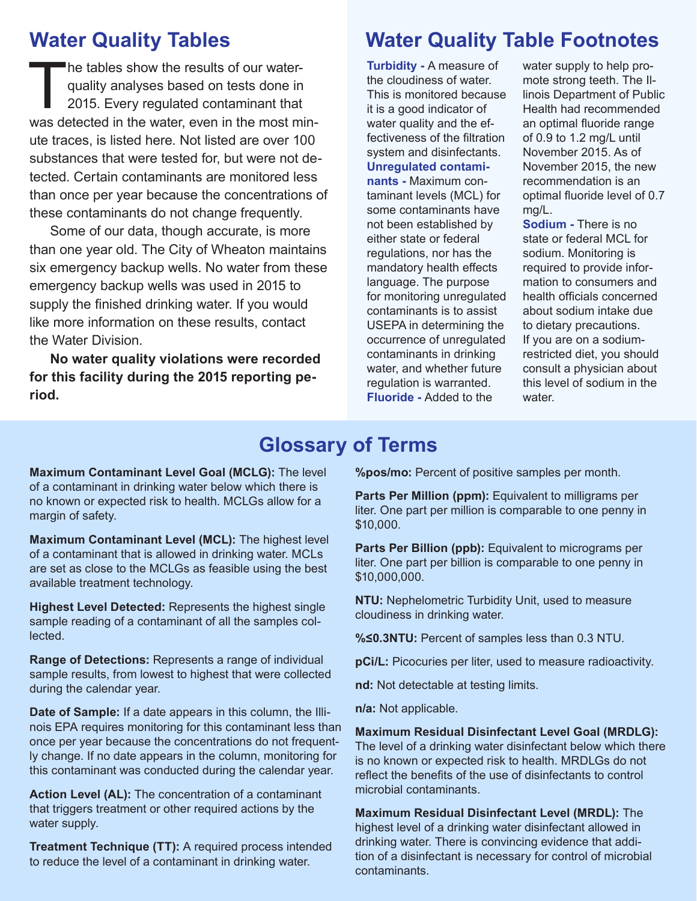## **Water Quality Tables**

The tables show the results of our water-<br>quality analyses based on tests done in<br>2015. Every regulated contaminant that<br>was detected in the water even in the most m quality analyses based on tests done in 2015. Every regulated contaminant that was detected in the water, even in the most minute traces, is listed here. Not listed are over 100 substances that were tested for, but were not detected. Certain contaminants are monitored less than once per year because the concentrations of these contaminants do not change frequently.

Some of our data, though accurate, is more than one year old. The City of Wheaton maintains six emergency backup wells. No water from these emergency backup wells was used in 2015 to supply the finished drinking water. If you would like more information on these results, contact the Water Division.

**No water quality violations were recorded for this facility during the 2015 reporting period.**

## **Water Quality Table Footnotes**

**Turbidity -** A measure of the cloudiness of water. This is monitored because it is a good indicator of water quality and the effectiveness of the filtration system and disinfectants. **Unregulated contaminants -** Maximum contaminant levels (MCL) for some contaminants have not been established by either state or federal regulations, nor has the mandatory health effects language. The purpose for monitoring unregulated contaminants is to assist USEPA in determining the occurrence of unregulated contaminants in drinking water, and whether future regulation is warranted. **Fluoride -** Added to the

water supply to help promote strong teeth. The Illinois Department of Public Health had recommended an optimal fluoride range of 0.9 to 1.2 mg/L until November 2015. As of November 2015, the new recommendation is an optimal fluoride level of 0.7 mg/L.

**Sodium -** There is no state or federal MCL for sodium. Monitoring is required to provide information to consumers and health officials concerned about sodium intake due to dietary precautions. If you are on a sodiumrestricted diet, you should consult a physician about this level of sodium in the water

## **Glossary of Terms**

**Maximum Contaminant Level Goal (MCLG):** The level of a contaminant in drinking water below which there is no known or expected risk to health. MCLGs allow for a margin of safety.

**Maximum Contaminant Level (MCL):** The highest level of a contaminant that is allowed in drinking water. MCLs are set as close to the MCLGs as feasible using the best available treatment technology.

**Highest Level Detected:** Represents the highest single sample reading of a contaminant of all the samples collected.

**Range of Detections:** Represents a range of individual sample results, from lowest to highest that were collected during the calendar year.

**Date of Sample:** If a date appears in this column, the Illinois EPA requires monitoring for this contaminant less than once per year because the concentrations do not frequently change. If no date appears in the column, monitoring for this contaminant was conducted during the calendar year.

**Action Level (AL):** The concentration of a contaminant that triggers treatment or other required actions by the water supply.

**Treatment Technique (TT):** A required process intended to reduce the level of a contaminant in drinking water.

**%pos/mo:** Percent of positive samples per month.

**Parts Per Million (ppm):** Equivalent to milligrams per liter. One part per million is comparable to one penny in \$10,000.

**Parts Per Billion (ppb):** Equivalent to micrograms per liter. One part per billion is comparable to one penny in \$10,000,000.

**NTU:** Nephelometric Turbidity Unit, used to measure cloudiness in drinking water.

**%≤0.3NTU:** Percent of samples less than 0.3 NTU.

**pCi/L:** Picocuries per liter, used to measure radioactivity.

**nd:** Not detectable at testing limits.

**n/a:** Not applicable.

**Maximum Residual Disinfectant Level Goal (MRDLG):** The level of a drinking water disinfectant below which there is no known or expected risk to health. MRDLGs do not reflect the benefits of the use of disinfectants to control microbial contaminants.

**Maximum Residual Disinfectant Level (MRDL):** The highest level of a drinking water disinfectant allowed in drinking water. There is convincing evidence that addition of a disinfectant is necessary for control of microbial contaminants.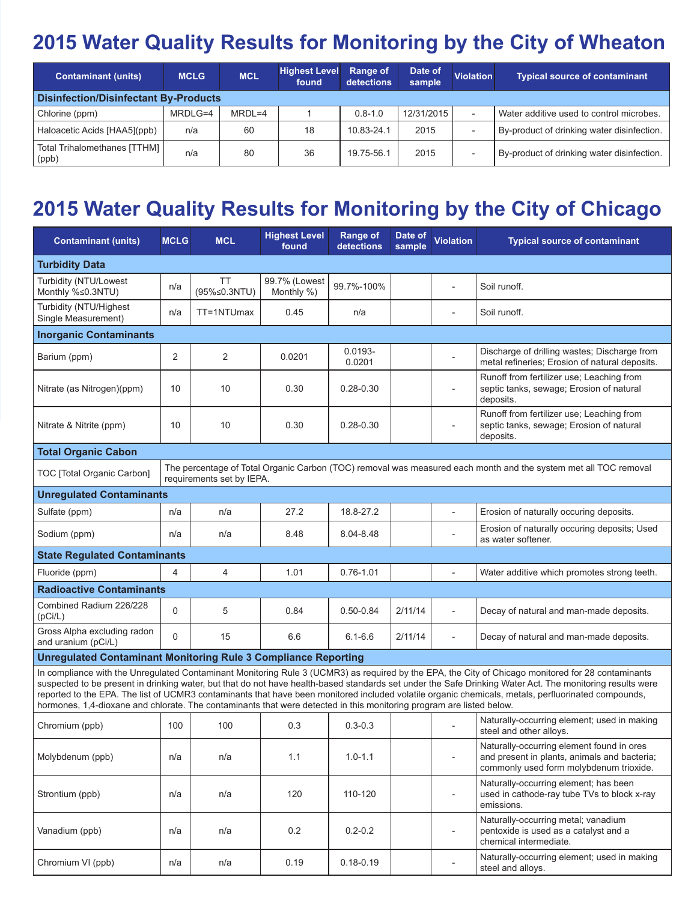## **2015 Water Quality Results for Monitoring by the City of Wheaton**

| <b>Contaminant (units)</b>                   | <b>MCLG</b> | <b>MCL</b> | <b>Highest Level</b><br>found | <b>Range of</b><br>detections | Date of<br>sample | <b>Violation</b>         | <b>Typical source of contaminant</b>       |  |  |  |
|----------------------------------------------|-------------|------------|-------------------------------|-------------------------------|-------------------|--------------------------|--------------------------------------------|--|--|--|
| <b>Disinfection/Disinfectant By-Products</b> |             |            |                               |                               |                   |                          |                                            |  |  |  |
| Chlorine (ppm)                               | MRDLG=4     | $MRDL=4$   |                               | $0.8 - 1.0$                   | 12/31/2015        | $\overline{\phantom{a}}$ | Water additive used to control microbes.   |  |  |  |
| Haloacetic Acids [HAA5](ppb)                 | n/a         | 60         | 18                            | 10.83-24.1                    | 2015              | $\overline{\phantom{0}}$ | By-product of drinking water disinfection. |  |  |  |
| Total Trihalomethanes [TTHM]  <br>(ppb)      | n/a         | 80         | 36                            | 19.75-56.1                    | 2015              | $\overline{\phantom{a}}$ | By-product of drinking water disinfection. |  |  |  |

## **2015 Water Quality Results for Monitoring by the City of Chicago**

| <b>Contaminant (units)</b>                                                                                                                                                                                                                                                                                                                                                                                                                                                                                                                                                                     | <b>MCLG</b>    | <b>MCL</b>         | <b>Highest Level</b><br>found | <b>Range of</b><br>detections | Date of<br>sample | <b>Violation</b>         | <b>Typical source of contaminant</b>                                                                                                 |  |  |  |  |  |
|------------------------------------------------------------------------------------------------------------------------------------------------------------------------------------------------------------------------------------------------------------------------------------------------------------------------------------------------------------------------------------------------------------------------------------------------------------------------------------------------------------------------------------------------------------------------------------------------|----------------|--------------------|-------------------------------|-------------------------------|-------------------|--------------------------|--------------------------------------------------------------------------------------------------------------------------------------|--|--|--|--|--|
| <b>Turbidity Data</b>                                                                                                                                                                                                                                                                                                                                                                                                                                                                                                                                                                          |                |                    |                               |                               |                   |                          |                                                                                                                                      |  |  |  |  |  |
| Turbidity (NTU/Lowest<br>Monthly %≤0.3NTU)                                                                                                                                                                                                                                                                                                                                                                                                                                                                                                                                                     | n/a            | TT<br>(95%≤0.3NTU) | 99.7% (Lowest<br>Monthly %)   | 99.7%-100%                    |                   |                          | Soil runoff.                                                                                                                         |  |  |  |  |  |
| Turbidity (NTU/Highest<br>Single Measurement)                                                                                                                                                                                                                                                                                                                                                                                                                                                                                                                                                  | n/a            | TT=1NTUmax         | 0.45                          | n/a                           |                   | $\overline{\phantom{a}}$ | Soil runoff.                                                                                                                         |  |  |  |  |  |
| <b>Inorganic Contaminants</b>                                                                                                                                                                                                                                                                                                                                                                                                                                                                                                                                                                  |                |                    |                               |                               |                   |                          |                                                                                                                                      |  |  |  |  |  |
| Barium (ppm)                                                                                                                                                                                                                                                                                                                                                                                                                                                                                                                                                                                   | 2              | 2                  | 0.0201                        | $0.0193 -$<br>0.0201          |                   |                          | Discharge of drilling wastes; Discharge from<br>metal refineries; Erosion of natural deposits.                                       |  |  |  |  |  |
| Nitrate (as Nitrogen)(ppm)                                                                                                                                                                                                                                                                                                                                                                                                                                                                                                                                                                     | 10             | 10                 | 0.30                          | $0.28 - 0.30$                 |                   |                          | Runoff from fertilizer use; Leaching from<br>septic tanks, sewage; Erosion of natural<br>deposits.                                   |  |  |  |  |  |
| Nitrate & Nitrite (ppm)                                                                                                                                                                                                                                                                                                                                                                                                                                                                                                                                                                        | 10             | 10                 | 0.30                          | $0.28 - 0.30$                 |                   |                          | Runoff from fertilizer use; Leaching from<br>septic tanks, sewage; Erosion of natural<br>deposits.                                   |  |  |  |  |  |
| <b>Total Organic Cabon</b>                                                                                                                                                                                                                                                                                                                                                                                                                                                                                                                                                                     |                |                    |                               |                               |                   |                          |                                                                                                                                      |  |  |  |  |  |
| The percentage of Total Organic Carbon (TOC) removal was measured each month and the system met all TOC removal<br>TOC [Total Organic Carbon]<br>requirements set by IEPA.                                                                                                                                                                                                                                                                                                                                                                                                                     |                |                    |                               |                               |                   |                          |                                                                                                                                      |  |  |  |  |  |
| <b>Unregulated Contaminants</b>                                                                                                                                                                                                                                                                                                                                                                                                                                                                                                                                                                |                |                    |                               |                               |                   |                          |                                                                                                                                      |  |  |  |  |  |
| Sulfate (ppm)                                                                                                                                                                                                                                                                                                                                                                                                                                                                                                                                                                                  | n/a            | n/a                | 27.2                          | 18.8-27.2                     |                   | $\overline{a}$           | Erosion of naturally occuring deposits.                                                                                              |  |  |  |  |  |
| Sodium (ppm)                                                                                                                                                                                                                                                                                                                                                                                                                                                                                                                                                                                   | n/a            | n/a                | 8.48                          | 8.04-8.48                     |                   |                          | Erosion of naturally occuring deposits; Used<br>as water softener.                                                                   |  |  |  |  |  |
| <b>State Regulated Contaminants</b>                                                                                                                                                                                                                                                                                                                                                                                                                                                                                                                                                            |                |                    |                               |                               |                   |                          |                                                                                                                                      |  |  |  |  |  |
| Fluoride (ppm)                                                                                                                                                                                                                                                                                                                                                                                                                                                                                                                                                                                 | $\overline{4}$ | $\overline{4}$     | 1.01                          | $0.76 - 1.01$                 |                   |                          | Water additive which promotes strong teeth.                                                                                          |  |  |  |  |  |
| <b>Radioactive Contaminants</b>                                                                                                                                                                                                                                                                                                                                                                                                                                                                                                                                                                |                |                    |                               |                               |                   |                          |                                                                                                                                      |  |  |  |  |  |
| Combined Radium 226/228<br>(pCi/L)                                                                                                                                                                                                                                                                                                                                                                                                                                                                                                                                                             | 0              | 5                  | 0.84                          | $0.50 - 0.84$                 | 2/11/14           | $\overline{a}$           | Decay of natural and man-made deposits.                                                                                              |  |  |  |  |  |
| Gross Alpha excluding radon<br>and uranium (pCi/L)                                                                                                                                                                                                                                                                                                                                                                                                                                                                                                                                             | 0              | 15                 | 6.6                           | $6.1 - 6.6$                   | 2/11/14           | $\overline{a}$           | Decay of natural and man-made deposits.                                                                                              |  |  |  |  |  |
| <b>Unregulated Contaminant Monitoring Rule 3 Compliance Reporting</b>                                                                                                                                                                                                                                                                                                                                                                                                                                                                                                                          |                |                    |                               |                               |                   |                          |                                                                                                                                      |  |  |  |  |  |
| In compliance with the Unregulated Contaminant Monitoring Rule 3 (UCMR3) as required by the EPA, the City of Chicago monitored for 28 contaminants<br>suspected to be present in drinking water, but that do not have health-based standards set under the Safe Drinking Water Act. The monitoring results were<br>reported to the EPA. The list of UCMR3 contaminants that have been monitored included volatile organic chemicals, metals, perfluorinated compounds,<br>hormones, 1,4-dioxane and chlorate. The contaminants that were detected in this monitoring program are listed below. |                |                    |                               |                               |                   |                          |                                                                                                                                      |  |  |  |  |  |
| Chromium (ppb)                                                                                                                                                                                                                                                                                                                                                                                                                                                                                                                                                                                 | 100            | 100                | 0.3                           | $0.3 - 0.3$                   |                   |                          | Naturally-occurring element; used in making<br>steel and other alloys.                                                               |  |  |  |  |  |
| Molybdenum (ppb)                                                                                                                                                                                                                                                                                                                                                                                                                                                                                                                                                                               | n/a            | n/a                | 1.1                           | $1.0 - 1.1$                   |                   |                          | Naturally-occurring element found in ores<br>and present in plants, animals and bacteria;<br>commonly used form molybdenum trioxide. |  |  |  |  |  |
| Strontium (ppb)                                                                                                                                                                                                                                                                                                                                                                                                                                                                                                                                                                                | n/a            | n/a                | 120                           | 110-120                       |                   |                          | Naturally-occurring element; has been<br>used in cathode-ray tube TVs to block x-ray<br>emissions.                                   |  |  |  |  |  |
| Vanadium (ppb)                                                                                                                                                                                                                                                                                                                                                                                                                                                                                                                                                                                 | n/a            | n/a                | 0.2                           | $0.2 - 0.2$                   |                   |                          | Naturally-occurring metal; vanadium<br>pentoxide is used as a catalyst and a<br>chemical intermediate.                               |  |  |  |  |  |
| Chromium VI (ppb)                                                                                                                                                                                                                                                                                                                                                                                                                                                                                                                                                                              | n/a            | n/a                | 0.19                          | $0.18 - 0.19$                 |                   |                          | Naturally-occurring element; used in making<br>steel and alloys.                                                                     |  |  |  |  |  |